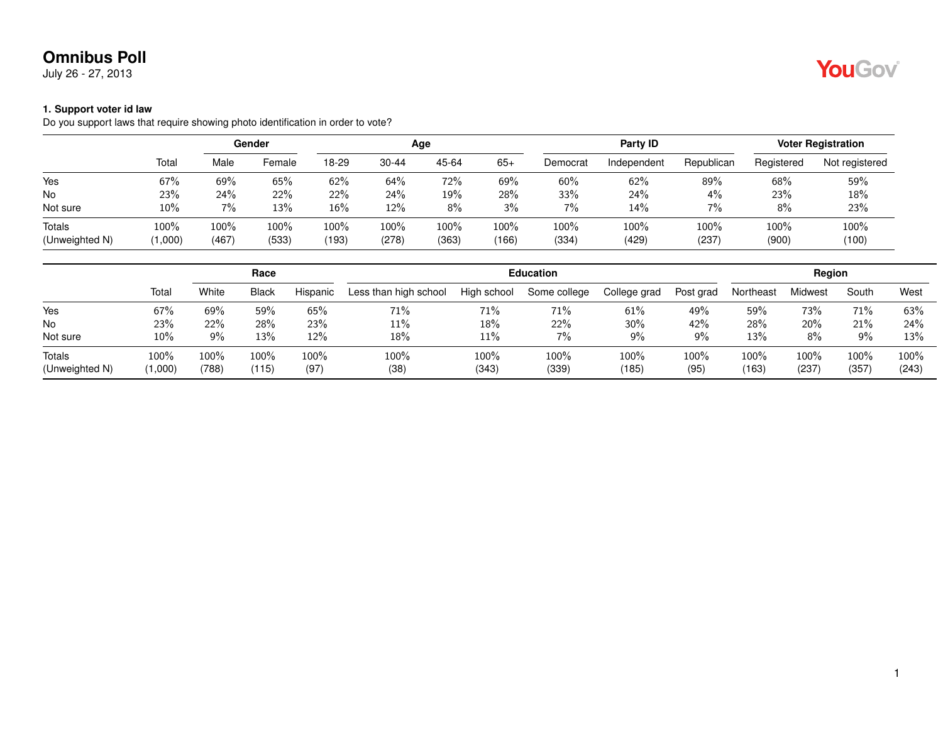July 26 - 27, 2013

#### **1. Support voter id law**

Do you support laws that require showing photo identification in order to vote?

|                |         |       | Gender | Age   |           |       |       |          | Party <b>ID</b> | <b>Voter Registration</b> |            |                |
|----------------|---------|-------|--------|-------|-----------|-------|-------|----------|-----------------|---------------------------|------------|----------------|
|                | Total   | Male  | Female | 18-29 | $30 - 44$ | 45-64 | $65+$ | Democrat | Independent     | Republican                | Registered | Not registered |
| Yes            | 67%     | 69%   | 65%    | 62%   | 64%       | 72%   | 69%   | 60%      | 62%             | 89%                       | 68%        | 59%            |
| No             | 23%     | 24%   | 22%    | 22%   | 24%       | 19%   | 28%   | 33%      | 24%             | 4%                        | 23%        | 18%            |
| Not sure       | $10\%$  | 7%    | 13%    | 16%   | 12%       | 8%    | 3%    | 7%       | 14%             | 7%                        | 8%         | 23%            |
| <b>Totals</b>  | 100%    | 100%  | 100%   | 100%  | 100%      | 100%  | 100%  | 100%     | 100%            | 100%                      | 100%       | 100%           |
| (Unweighted N) | (1,000) | (467) | (533)  | (193) | (278)     | (363) | (166) | (334)    | (429)           | (237)                     | (900)      | (100)          |

|                          |                 |               | Race          |              |                       | <b>Education</b> |               |               |              |                  |               |                  | Region        |  |  |  |
|--------------------------|-----------------|---------------|---------------|--------------|-----------------------|------------------|---------------|---------------|--------------|------------------|---------------|------------------|---------------|--|--|--|
|                          | Total           | White         | <b>Black</b>  | Hispanic     | Less than high school | High school      | Some college  | College grad  | Post grad    | Northeast        | Midwest       | South            | West          |  |  |  |
| Yes                      | 67%             | 69%           | 59%           | 65%          | 71%                   | 71%              | 71%           | 61%           | 49%          | 59%              | 73%           | 71%              | 63%           |  |  |  |
| <b>No</b>                | 23%             | 22%           | 28%           | 23%          | 11%                   | 18%              | 22%           | 30%           | 42%          | 28%              | 20%           | 21%              | 24%           |  |  |  |
| Not sure                 | 10%             | 9%            | 13%           | 12%          | $18\%$                | 11%              | $7\%$         | 9%            | 9%           | 13%              | 8%            | 9%               | 13%           |  |  |  |
| Totals<br>(Unweighted N) | 100%<br>(1,000) | 100%<br>(788) | 100%<br>(115) | 100%<br>(97) | 100%<br>(38)          | 100%<br>(343)    | 100%<br>(339) | 100%<br>(185) | 100%<br>(95) | $100\%$<br>(163) | 100%<br>(237) | $100\%$<br>(357) | 100%<br>(243) |  |  |  |

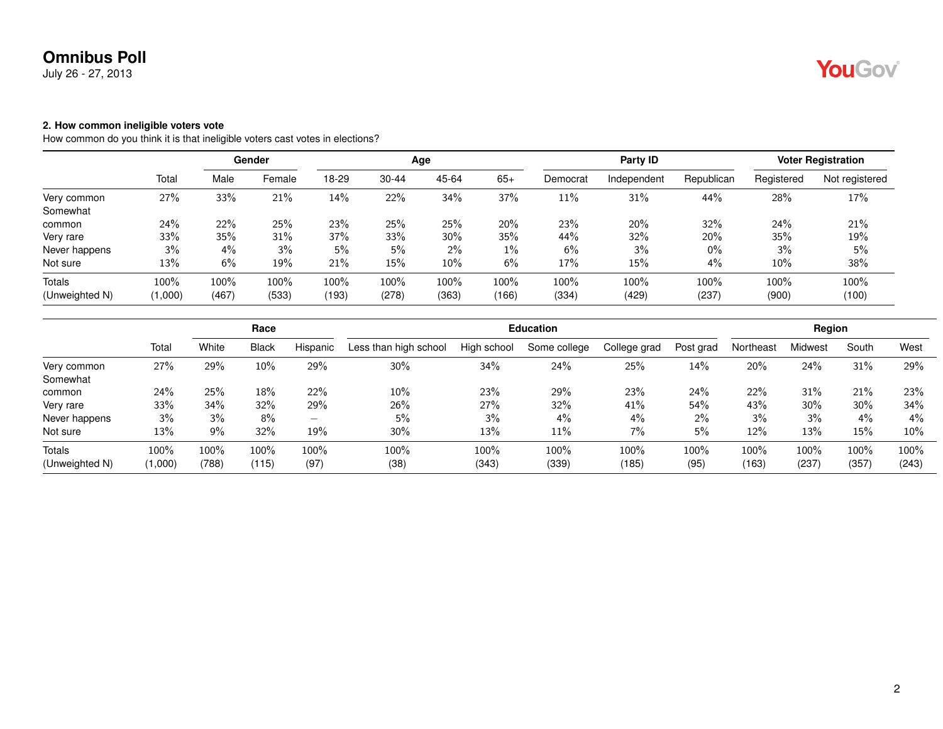July 26 - 27, 2013

#### **2. How common ineligible voters vote**

How common do you think it is that ineligible voters cast votes in elections?

|                | Gender  |       |        |       |       | Age   |       |          | Party ID    | <b>Voter Registration</b> |            |                |
|----------------|---------|-------|--------|-------|-------|-------|-------|----------|-------------|---------------------------|------------|----------------|
|                | Total   | Male  | Female | 18-29 | 30-44 | 45-64 | $65+$ | Democrat | Independent | Republican                | Registered | Not registered |
| Very common    | 27%     | 33%   | 21%    | 14%   | 22%   | 34%   | 37%   | 11%      | 31%         | 44%                       | 28%        | 17%            |
| Somewhat       |         |       |        |       |       |       |       |          |             |                           |            |                |
| common         | 24%     | 22%   | 25%    | 23%   | 25%   | 25%   | 20%   | 23%      | 20%         | 32%                       | 24%        | 21%            |
| Very rare      | 33%     | 35%   | 31%    | 37%   | 33%   | 30%   | 35%   | 44%      | 32%         | 20%                       | 35%        | 19%            |
| Never happens  | 3%      | 4%    | 3%     | 5%    | 5%    | 2%    | 1%    | 6%       | 3%          | $0\%$                     | 3%         | 5%             |
| Not sure       | 13%     | 6%    | 19%    | 21%   | 15%   | 10%   | 6%    | 17%      | 15%         | 4%                        | 10%        | 38%            |
| <b>Totals</b>  | 100%    | 100%  | 100%   | 100%  | 100%  | 100%  | 100%  | 100%     | 100%        | 100%                      | 100%       | 100%           |
| (Unweighted N) | (1,000) | (467) | (533)  | (193) | (278) | (363) | (166) | (334)    | (429)       | (237)                     | (900)      | (100)          |

|                |         |       | Race    |                          |                       | <b>Education</b> |              |              |           |           |         |         | Region |  |  |  |
|----------------|---------|-------|---------|--------------------------|-----------------------|------------------|--------------|--------------|-----------|-----------|---------|---------|--------|--|--|--|
|                | Tota    | White | Black   | Hispanic                 | Less than high school | High school      | Some college | College grad | Post grad | Northeast | Midwest | South   | West   |  |  |  |
| Very common    | 27%     | 29%   | $10\%$  | 29%                      | $30\%$                | 34%              | 24%          | 25%          | 14%       | 20%       | 24%     | 31%     | 29%    |  |  |  |
| Somewhat       |         |       |         |                          |                       |                  |              |              |           |           |         |         |        |  |  |  |
| common         | 24%     | 25%   | 18%     | 22%                      | 10%                   | 23%              | 29%          | 23%          | 24%       | 22%       | 31%     | 21%     | 23%    |  |  |  |
| Very rare      | 33%     | 34%   | 32%     | 29%                      | 26%                   | 27%              | 32%          | 41%          | 54%       | 43%       | 30%     | 30%     | 34%    |  |  |  |
| Never happens  | 3%      | 3%    | $8\%$   | $\overline{\phantom{a}}$ | 5%                    | 3%               | $4\%$        | 4%           | $2\%$     | 3%        | 3%      | $4\%$   | $4\%$  |  |  |  |
| Not sure       | 13%     | 9%    | 32%     | 19%                      | 30%                   | 13%              | 11%          | 7%           | 5%        | 12%       | 13%     | 15%     | 10%    |  |  |  |
| Totals         | 100%    | 100%  | $100\%$ | 100%                     | 100%                  | 100%             | 100%         | 100%         | 100%      | $100\%$   | $100\%$ | $100\%$ | 100%   |  |  |  |
| (Unweighted N) | (1,000) | (788) | (115)   | (97)                     | (38)                  | (343)            | (339)        | (185)        | (95)      | (163)     | (237)   | (357)   | (243)  |  |  |  |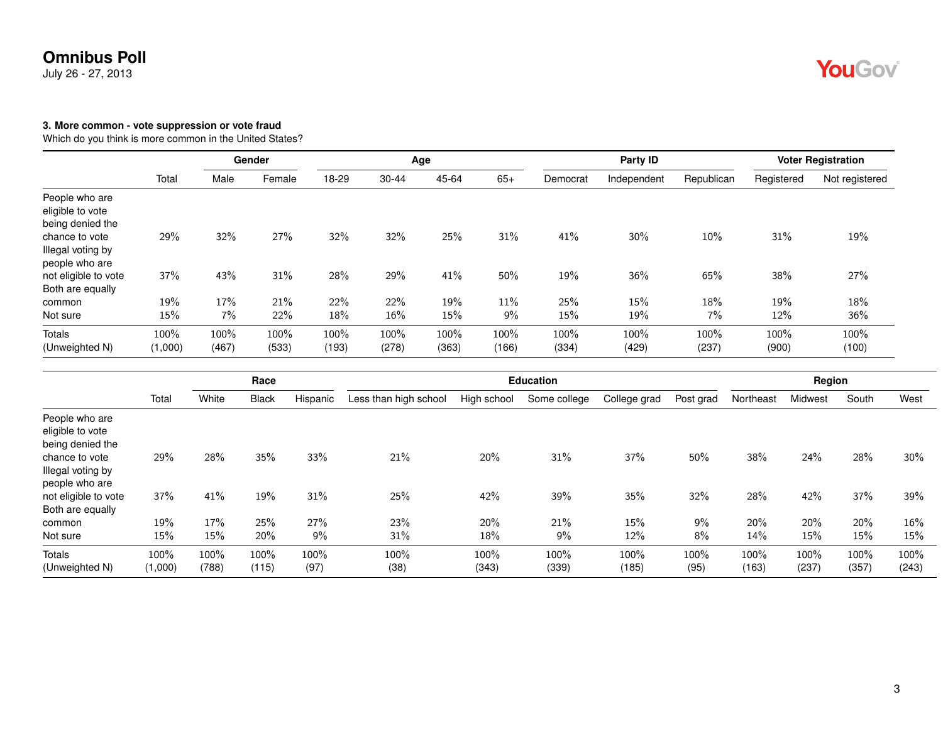July 26 - 27, 2013

#### **3. More common - vote suppression or vote fraud**

Which do you think is more common in the United States?

|                                                        |                 |               | Gender        |               |               | Age           |               |               | Party ID      |               |               | <b>Voter Registration</b> |
|--------------------------------------------------------|-----------------|---------------|---------------|---------------|---------------|---------------|---------------|---------------|---------------|---------------|---------------|---------------------------|
|                                                        | Total           | Male          | Female        | 18-29         | 30-44         | 45-64         | $65+$         | Democrat      | Independent   | Republican    | Registered    | Not registered            |
| People who are<br>eligible to vote<br>being denied the |                 |               |               |               |               |               |               |               |               |               |               |                           |
| chance to vote<br>Illegal voting by<br>people who are  | 29%             | 32%           | 27%           | 32%           | 32%           | 25%           | 31%           | 41%           | 30%           | 10%           | 31%           | 19%                       |
| not eligible to vote<br>Both are equally               | 37%             | 43%           | 31%           | 28%           | 29%           | 41%           | 50%           | 19%           | 36%           | 65%           | 38%           | 27%                       |
| common                                                 | 19%             | 17%           | 21%           | 22%           | 22%           | 19%           | 11%           | 25%           | 15%           | 18%           | 19%           | 18%                       |
| Not sure                                               | 15%             | 7%            | 22%           | 18%           | 16%           | 15%           | 9%            | 15%           | 19%           | 7%            | 12%           | 36%                       |
| Totals<br>(Unweighted N)                               | 100%<br>(1,000) | 100%<br>(467) | 100%<br>(533) | 100%<br>(193) | 100%<br>(278) | 100%<br>(363) | 100%<br>(166) | 100%<br>(334) | 100%<br>(429) | 100%<br>(237) | 100%<br>(900) | 100%<br>(100)             |

|                                                        |                 |               | Race          |              |                       |               | <b>Education</b> |               |              |               | Region        |               |               |
|--------------------------------------------------------|-----------------|---------------|---------------|--------------|-----------------------|---------------|------------------|---------------|--------------|---------------|---------------|---------------|---------------|
|                                                        | Total           | White         | <b>Black</b>  | Hispanic     | Less than high school | High school   | Some college     | College grad  | Post grad    | Northeast     | Midwest       | South         | West          |
| People who are<br>eligible to vote<br>being denied the |                 |               |               |              |                       |               |                  |               |              |               |               |               |               |
| chance to vote<br>Illegal voting by<br>people who are  | 29%             | 28%           | 35%           | 33%          | 21%                   | 20%           | 31%              | 37%           | 50%          | 38%           | 24%           | 28%           | 30%           |
| not eligible to vote<br>Both are equally               | 37%             | 41%           | 19%           | 31%          | 25%                   | 42%           | 39%              | 35%           | 32%          | 28%           | 42%           | 37%           | 39%           |
| common                                                 | 19%             | 17%           | 25%           | 27%          | 23%                   | 20%           | 21%              | 15%           | 9%           | 20%           | 20%           | 20%           | $16\%$        |
| Not sure                                               | 15%             | 15%           | 20%           | 9%           | 31%                   | 18%           | 9%               | 12%           | 8%           | 14%           | 15%           | 15%           | 15%           |
| Totals<br>(Unweighted N)                               | 100%<br>(1,000) | 100%<br>(788) | 100%<br>(115) | 100%<br>(97) | 100%<br>(38)          | 100%<br>(343) | 100%<br>(339)    | 100%<br>(185) | 100%<br>(95) | 100%<br>(163) | 100%<br>(237) | 100%<br>(357) | 100%<br>(243) |